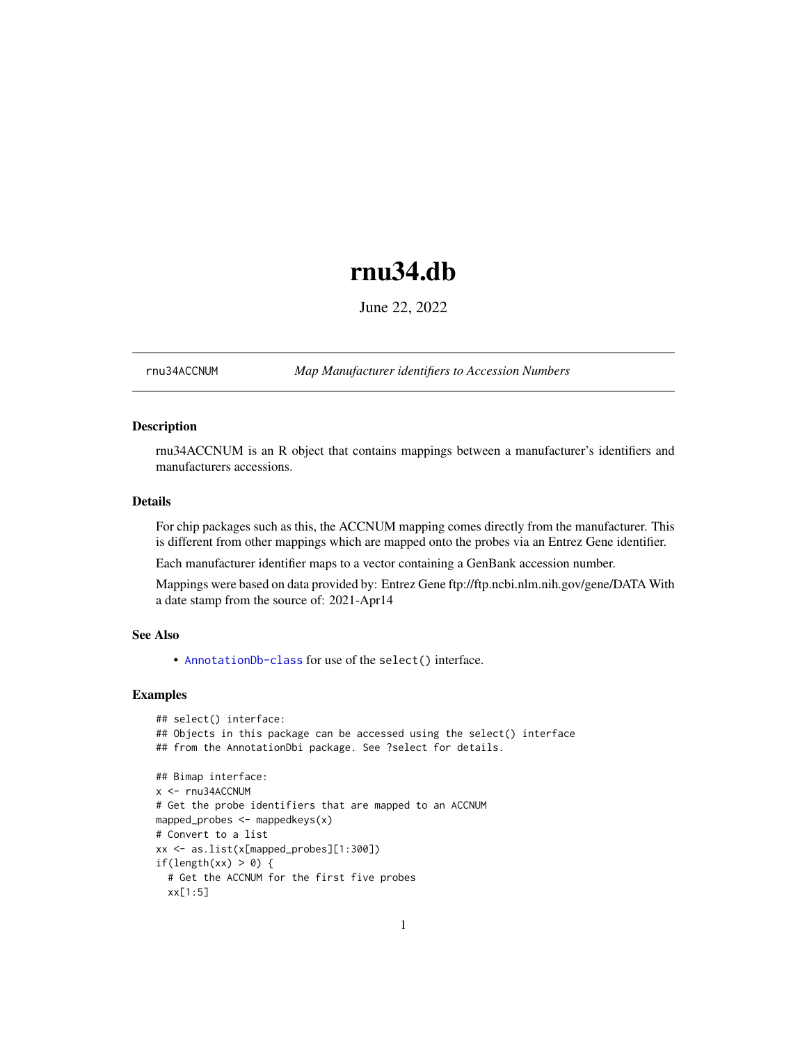## rnu34.db

June 22, 2022

<span id="page-0-1"></span><span id="page-0-0"></span>rnu34ACCNUM *Map Manufacturer identifiers to Accession Numbers*

#### Description

rnu34ACCNUM is an R object that contains mappings between a manufacturer's identifiers and manufacturers accessions.

#### Details

For chip packages such as this, the ACCNUM mapping comes directly from the manufacturer. This is different from other mappings which are mapped onto the probes via an Entrez Gene identifier.

Each manufacturer identifier maps to a vector containing a GenBank accession number.

Mappings were based on data provided by: Entrez Gene ftp://ftp.ncbi.nlm.nih.gov/gene/DATA With a date stamp from the source of: 2021-Apr14

#### See Also

• AnnotationDb-class for use of the select() interface.

```
## select() interface:
## Objects in this package can be accessed using the select() interface
## from the AnnotationDbi package. See ?select for details.
## Bimap interface:
x <- rnu34ACCNUM
# Get the probe identifiers that are mapped to an ACCNUM
mapped_probes <- mappedkeys(x)
# Convert to a list
xx <- as.list(x[mapped_probes][1:300])
if(length(xx) > 0) {
  # Get the ACCNUM for the first five probes
  xx[1:5]
```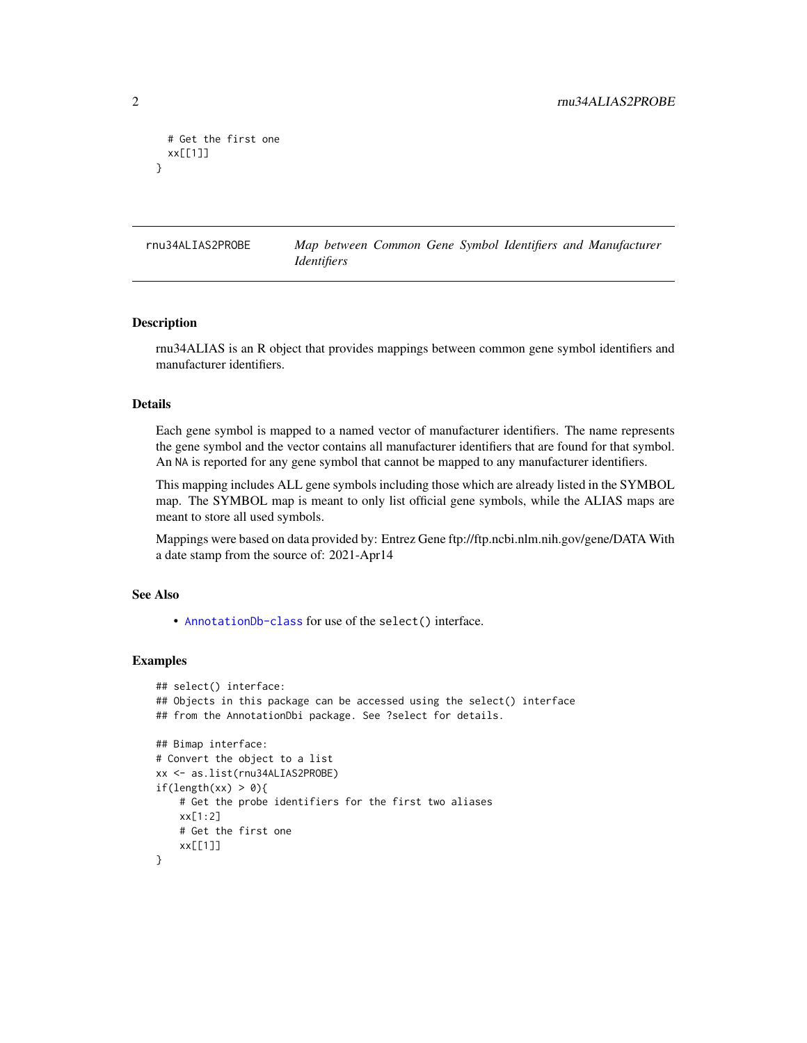```
# Get the first one
 xx[[1]]
}
```
rnu34ALIAS2PROBE *Map between Common Gene Symbol Identifiers and Manufacturer Identifiers*

#### Description

rnu34ALIAS is an R object that provides mappings between common gene symbol identifiers and manufacturer identifiers.

#### Details

Each gene symbol is mapped to a named vector of manufacturer identifiers. The name represents the gene symbol and the vector contains all manufacturer identifiers that are found for that symbol. An NA is reported for any gene symbol that cannot be mapped to any manufacturer identifiers.

This mapping includes ALL gene symbols including those which are already listed in the SYMBOL map. The SYMBOL map is meant to only list official gene symbols, while the ALIAS maps are meant to store all used symbols.

Mappings were based on data provided by: Entrez Gene ftp://ftp.ncbi.nlm.nih.gov/gene/DATA With a date stamp from the source of: 2021-Apr14

#### See Also

• [AnnotationDb-class](#page-0-0) for use of the select() interface.

```
## select() interface:
## Objects in this package can be accessed using the select() interface
## from the AnnotationDbi package. See ?select for details.
## Bimap interface:
# Convert the object to a list
xx <- as.list(rnu34ALIAS2PROBE)
if(length(xx) > 0){
    # Get the probe identifiers for the first two aliases
   xx[1:2]
   # Get the first one
   xx[[1]]
}
```
<span id="page-1-0"></span>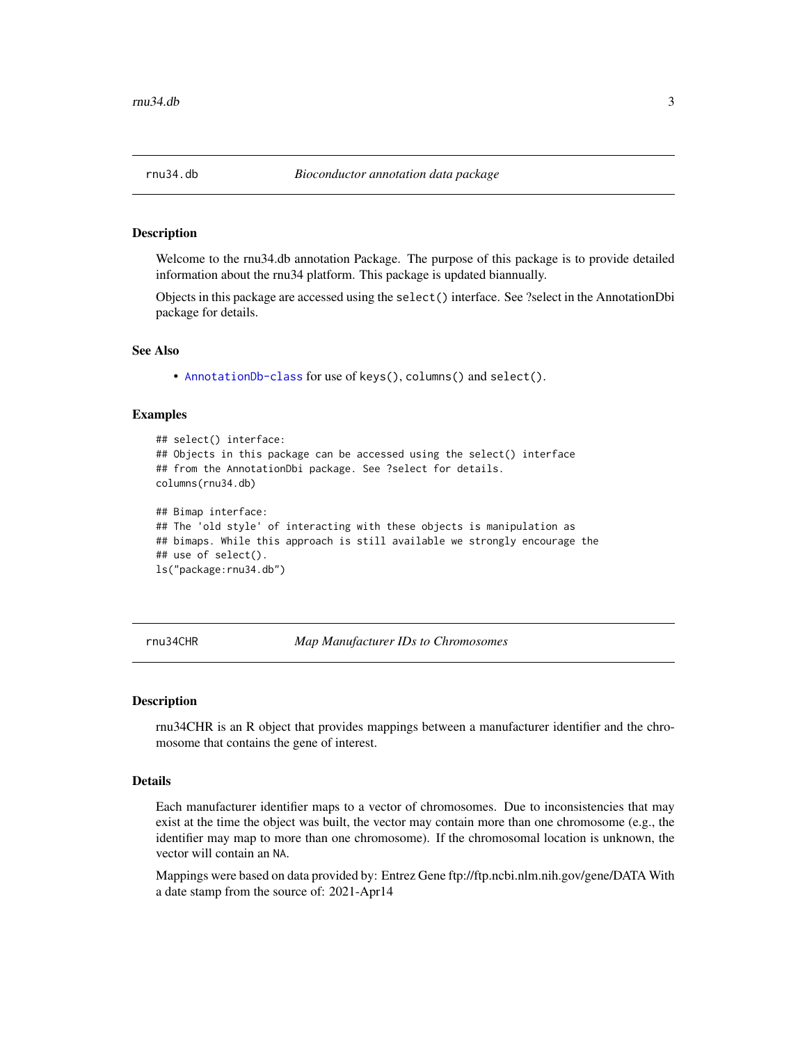<span id="page-2-0"></span>Welcome to the rnu34.db annotation Package. The purpose of this package is to provide detailed information about the rnu34 platform. This package is updated biannually.

Objects in this package are accessed using the select() interface. See ?select in the AnnotationDbi package for details.

#### See Also

• [AnnotationDb-class](#page-0-0) for use of keys(), columns() and select().

#### Examples

```
## select() interface:
## Objects in this package can be accessed using the select() interface
## from the AnnotationDbi package. See ?select for details.
columns(rnu34.db)
## Bimap interface:
## The 'old style' of interacting with these objects is manipulation as
## bimaps. While this approach is still available we strongly encourage the
## use of select().
ls("package:rnu34.db")
```
rnu34CHR *Map Manufacturer IDs to Chromosomes*

#### **Description**

rnu34CHR is an R object that provides mappings between a manufacturer identifier and the chromosome that contains the gene of interest.

#### Details

Each manufacturer identifier maps to a vector of chromosomes. Due to inconsistencies that may exist at the time the object was built, the vector may contain more than one chromosome (e.g., the identifier may map to more than one chromosome). If the chromosomal location is unknown, the vector will contain an NA.

Mappings were based on data provided by: Entrez Gene ftp://ftp.ncbi.nlm.nih.gov/gene/DATA With a date stamp from the source of: 2021-Apr14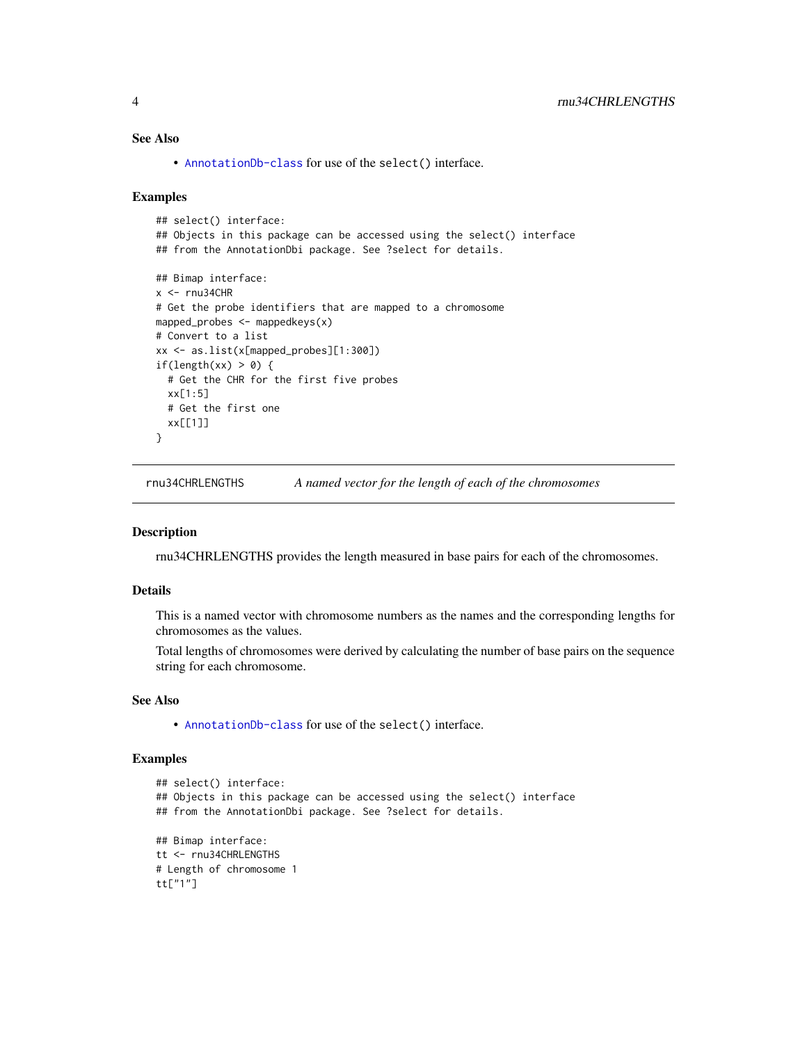#### <span id="page-3-0"></span>See Also

• [AnnotationDb-class](#page-0-0) for use of the select() interface.

#### Examples

```
## select() interface:
## Objects in this package can be accessed using the select() interface
## from the AnnotationDbi package. See ?select for details.
## Bimap interface:
x < -rnu34CHR
# Get the probe identifiers that are mapped to a chromosome
mapped_probes <- mappedkeys(x)
# Convert to a list
xx <- as.list(x[mapped_probes][1:300])
if(length(xx) > 0) {
  # Get the CHR for the first five probes
  xx[1:5]
  # Get the first one
  xx[[1]]
}
```
rnu34CHRLENGTHS *A named vector for the length of each of the chromosomes*

#### Description

rnu34CHRLENGTHS provides the length measured in base pairs for each of the chromosomes.

#### Details

This is a named vector with chromosome numbers as the names and the corresponding lengths for chromosomes as the values.

Total lengths of chromosomes were derived by calculating the number of base pairs on the sequence string for each chromosome.

#### See Also

• [AnnotationDb-class](#page-0-0) for use of the select() interface.

```
## select() interface:
## Objects in this package can be accessed using the select() interface
## from the AnnotationDbi package. See ?select for details.
## Bimap interface:
tt <- rnu34CHRLENGTHS
# Length of chromosome 1
tt["1"]
```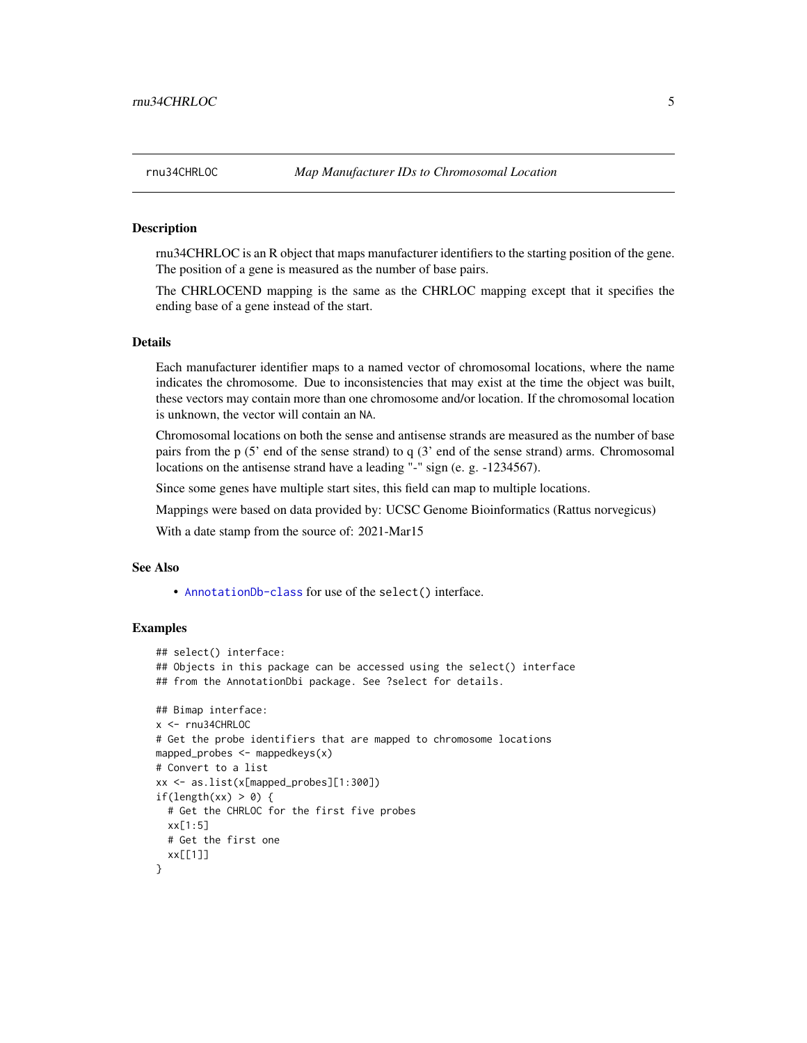rnu34CHRLOC is an R object that maps manufacturer identifiers to the starting position of the gene. The position of a gene is measured as the number of base pairs.

The CHRLOCEND mapping is the same as the CHRLOC mapping except that it specifies the ending base of a gene instead of the start.

#### Details

Each manufacturer identifier maps to a named vector of chromosomal locations, where the name indicates the chromosome. Due to inconsistencies that may exist at the time the object was built, these vectors may contain more than one chromosome and/or location. If the chromosomal location is unknown, the vector will contain an NA.

Chromosomal locations on both the sense and antisense strands are measured as the number of base pairs from the p (5' end of the sense strand) to q (3' end of the sense strand) arms. Chromosomal locations on the antisense strand have a leading "-" sign (e. g. -1234567).

Since some genes have multiple start sites, this field can map to multiple locations.

Mappings were based on data provided by: UCSC Genome Bioinformatics (Rattus norvegicus)

With a date stamp from the source of: 2021-Mar15

#### See Also

• [AnnotationDb-class](#page-0-0) for use of the select() interface.

```
## select() interface:
## Objects in this package can be accessed using the select() interface
## from the AnnotationDbi package. See ?select for details.
## Bimap interface:
x <- rnu34CHRLOC
# Get the probe identifiers that are mapped to chromosome locations
mapped_probes <- mappedkeys(x)
# Convert to a list
xx <- as.list(x[mapped_probes][1:300])
if(length(xx) > 0) {
 # Get the CHRLOC for the first five probes
 xx[1:5]
 # Get the first one
 xx[[1]]
}
```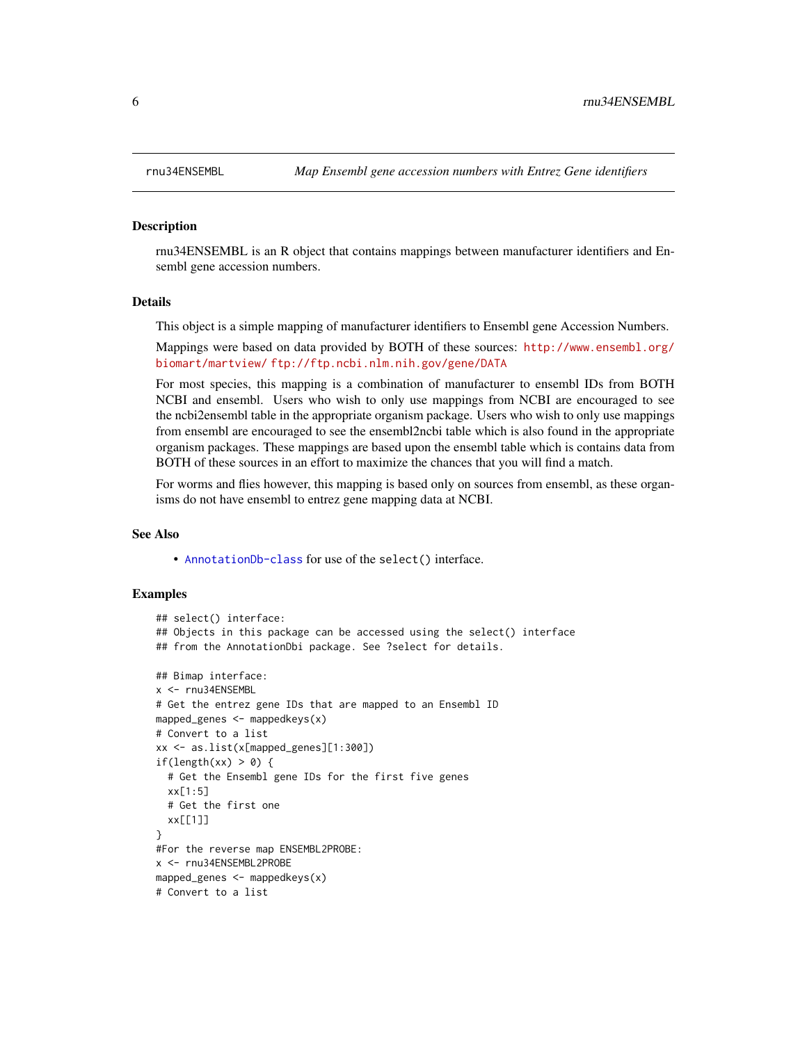rnu34ENSEMBL is an R object that contains mappings between manufacturer identifiers and Ensembl gene accession numbers.

#### Details

This object is a simple mapping of manufacturer identifiers to Ensembl gene Accession Numbers.

Mappings were based on data provided by BOTH of these sources: [http://www.ensembl.org/](http://www.ensembl.org/biomart/martview/) [biomart/martview/](http://www.ensembl.org/biomart/martview/) <ftp://ftp.ncbi.nlm.nih.gov/gene/DATA>

For most species, this mapping is a combination of manufacturer to ensembl IDs from BOTH NCBI and ensembl. Users who wish to only use mappings from NCBI are encouraged to see the ncbi2ensembl table in the appropriate organism package. Users who wish to only use mappings from ensembl are encouraged to see the ensembl2ncbi table which is also found in the appropriate organism packages. These mappings are based upon the ensembl table which is contains data from BOTH of these sources in an effort to maximize the chances that you will find a match.

For worms and flies however, this mapping is based only on sources from ensembl, as these organisms do not have ensembl to entrez gene mapping data at NCBI.

#### See Also

• [AnnotationDb-class](#page-0-0) for use of the select() interface.

```
## select() interface:
## Objects in this package can be accessed using the select() interface
## from the AnnotationDbi package. See ?select for details.
## Bimap interface:
x <- rnu34ENSEMBL
# Get the entrez gene IDs that are mapped to an Ensembl ID
mapped_genes \leq mappedkeys(x)
# Convert to a list
xx <- as.list(x[mapped_genes][1:300])
if(length(xx) > 0) {
 # Get the Ensembl gene IDs for the first five genes
 xx[1:5]
 # Get the first one
 xx[[1]]
}
#For the reverse map ENSEMBL2PROBE:
x <- rnu34ENSEMBL2PROBE
mapped_genes <- mappedkeys(x)
# Convert to a list
```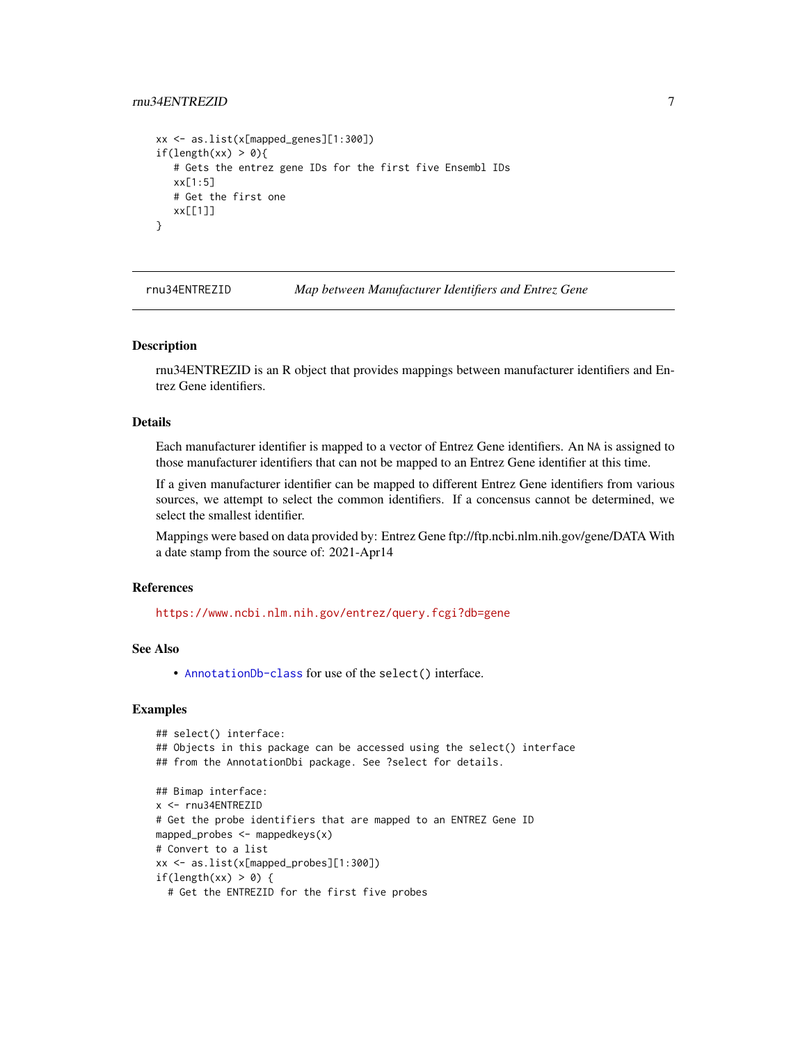#### <span id="page-6-0"></span>rnu34ENTREZID 7

```
xx <- as.list(x[mapped_genes][1:300])
if(length(xx) > 0){
   # Gets the entrez gene IDs for the first five Ensembl IDs
  xx[1:5]
  # Get the first one
  xx[[1]]
}
```
rnu34ENTREZID *Map between Manufacturer Identifiers and Entrez Gene*

#### Description

rnu34ENTREZID is an R object that provides mappings between manufacturer identifiers and Entrez Gene identifiers.

#### Details

Each manufacturer identifier is mapped to a vector of Entrez Gene identifiers. An NA is assigned to those manufacturer identifiers that can not be mapped to an Entrez Gene identifier at this time.

If a given manufacturer identifier can be mapped to different Entrez Gene identifiers from various sources, we attempt to select the common identifiers. If a concensus cannot be determined, we select the smallest identifier.

Mappings were based on data provided by: Entrez Gene ftp://ftp.ncbi.nlm.nih.gov/gene/DATA With a date stamp from the source of: 2021-Apr14

#### References

<https://www.ncbi.nlm.nih.gov/entrez/query.fcgi?db=gene>

#### See Also

• [AnnotationDb-class](#page-0-0) for use of the select() interface.

```
## select() interface:
## Objects in this package can be accessed using the select() interface
## from the AnnotationDbi package. See ?select for details.
## Bimap interface:
x <- rnu34ENTREZID
# Get the probe identifiers that are mapped to an ENTREZ Gene ID
mapped_probes <- mappedkeys(x)
# Convert to a list
xx <- as.list(x[mapped_probes][1:300])
if(length(xx) > 0) {
 # Get the ENTREZID for the first five probes
```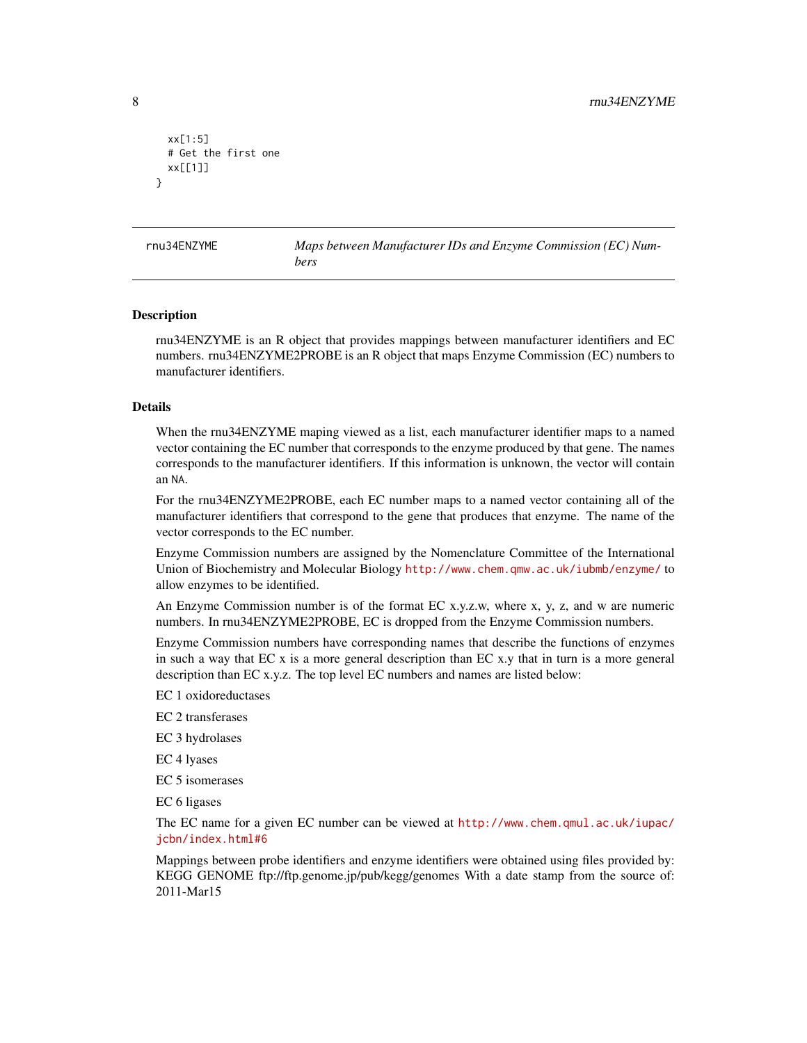```
xx[1:5]
 # Get the first one
 xx[[1]]
}
```
rnu34ENZYME *Maps between Manufacturer IDs and Enzyme Commission (EC) Numbers*

#### Description

rnu34ENZYME is an R object that provides mappings between manufacturer identifiers and EC numbers. rnu34ENZYME2PROBE is an R object that maps Enzyme Commission (EC) numbers to manufacturer identifiers.

#### Details

When the rnu34ENZYME maping viewed as a list, each manufacturer identifier maps to a named vector containing the EC number that corresponds to the enzyme produced by that gene. The names corresponds to the manufacturer identifiers. If this information is unknown, the vector will contain an NA.

For the rnu34ENZYME2PROBE, each EC number maps to a named vector containing all of the manufacturer identifiers that correspond to the gene that produces that enzyme. The name of the vector corresponds to the EC number.

Enzyme Commission numbers are assigned by the Nomenclature Committee of the International Union of Biochemistry and Molecular Biology <http://www.chem.qmw.ac.uk/iubmb/enzyme/> to allow enzymes to be identified.

An Enzyme Commission number is of the format EC x.y.z.w, where x, y, z, and w are numeric numbers. In rnu34ENZYME2PROBE, EC is dropped from the Enzyme Commission numbers.

Enzyme Commission numbers have corresponding names that describe the functions of enzymes in such a way that EC x is a more general description than EC x.y that in turn is a more general description than EC x.y.z. The top level EC numbers and names are listed below:

EC 1 oxidoreductases

EC 2 transferases

EC 3 hydrolases

EC 4 lyases

EC 5 isomerases

EC 6 ligases

The EC name for a given EC number can be viewed at [http://www.chem.qmul.ac.uk/iupac/](http://www.chem.qmul.ac.uk/iupac/jcbn/index.html#6) [jcbn/index.html#6](http://www.chem.qmul.ac.uk/iupac/jcbn/index.html#6)

Mappings between probe identifiers and enzyme identifiers were obtained using files provided by: KEGG GENOME ftp://ftp.genome.jp/pub/kegg/genomes With a date stamp from the source of: 2011-Mar15

<span id="page-7-0"></span>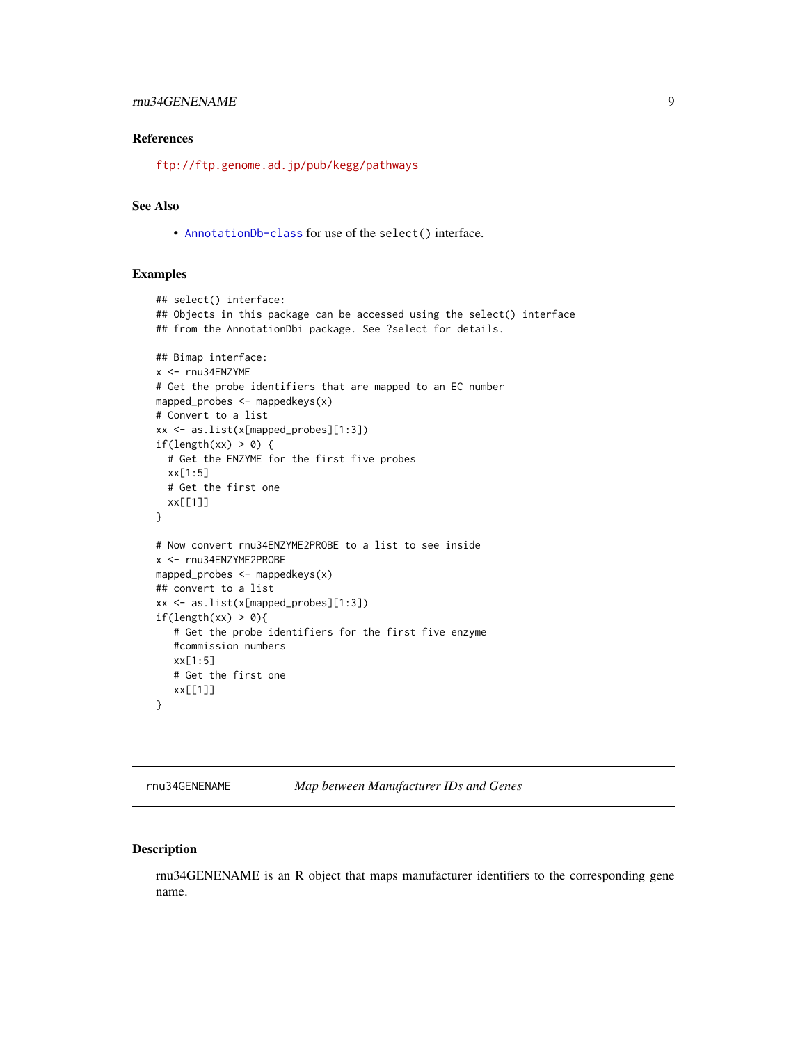#### <span id="page-8-0"></span>rnu34GENENAME 9

#### References

<ftp://ftp.genome.ad.jp/pub/kegg/pathways>

#### See Also

• [AnnotationDb-class](#page-0-0) for use of the select() interface.

#### Examples

```
## select() interface:
## Objects in this package can be accessed using the select() interface
## from the AnnotationDbi package. See ?select for details.
## Bimap interface:
x <- rnu34ENZYME
# Get the probe identifiers that are mapped to an EC number
mapped_probes <- mappedkeys(x)
# Convert to a list
xx <- as.list(x[mapped_probes][1:3])
if(length(xx) > 0) {
  # Get the ENZYME for the first five probes
  xx[1:5]
  # Get the first one
  xx[[1]]
}
# Now convert rnu34ENZYME2PROBE to a list to see inside
x <- rnu34ENZYME2PROBE
mapped_probes \leq mappedkeys(x)
## convert to a list
xx <- as.list(x[mapped_probes][1:3])
if(length(xx) > 0){
   # Get the probe identifiers for the first five enzyme
   #commission numbers
   xx[1:5]
   # Get the first one
  xx[[1]]
}
```
rnu34GENENAME *Map between Manufacturer IDs and Genes*

#### Description

rnu34GENENAME is an R object that maps manufacturer identifiers to the corresponding gene name.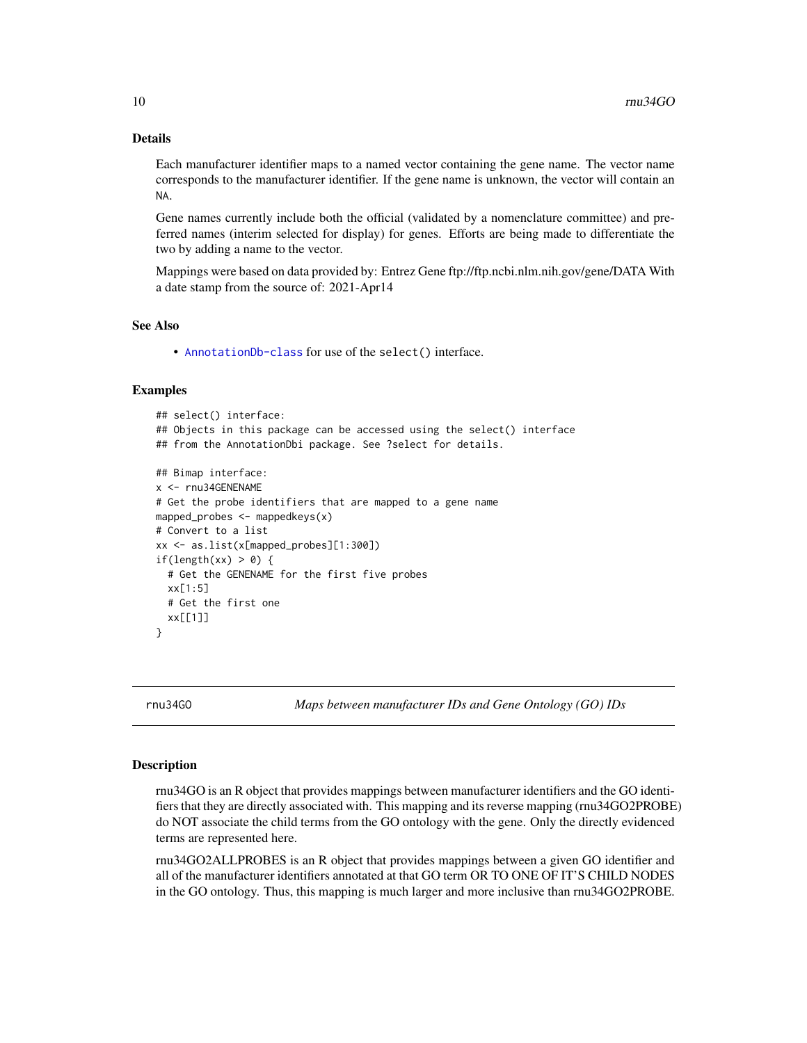#### <span id="page-9-1"></span>Details

Each manufacturer identifier maps to a named vector containing the gene name. The vector name corresponds to the manufacturer identifier. If the gene name is unknown, the vector will contain an NA.

Gene names currently include both the official (validated by a nomenclature committee) and preferred names (interim selected for display) for genes. Efforts are being made to differentiate the two by adding a name to the vector.

Mappings were based on data provided by: Entrez Gene ftp://ftp.ncbi.nlm.nih.gov/gene/DATA With a date stamp from the source of: 2021-Apr14

#### See Also

• [AnnotationDb-class](#page-0-0) for use of the select() interface.

#### Examples

```
## select() interface:
## Objects in this package can be accessed using the select() interface
## from the AnnotationDbi package. See ?select for details.
## Bimap interface:
x <- rnu34GENENAME
# Get the probe identifiers that are mapped to a gene name
mapped_probes <- mappedkeys(x)
# Convert to a list
xx <- as.list(x[mapped_probes][1:300])
if(length(xx) > 0) {
 # Get the GENENAME for the first five probes
 xx[1:5]
 # Get the first one
 xx[[1]]
}
```
rnu34GO *Maps between manufacturer IDs and Gene Ontology (GO) IDs*

#### <span id="page-9-0"></span>Description

rnu34GO is an R object that provides mappings between manufacturer identifiers and the GO identifiers that they are directly associated with. This mapping and its reverse mapping (rnu34GO2PROBE) do NOT associate the child terms from the GO ontology with the gene. Only the directly evidenced terms are represented here.

rnu34GO2ALLPROBES is an R object that provides mappings between a given GO identifier and all of the manufacturer identifiers annotated at that GO term OR TO ONE OF IT'S CHILD NODES in the GO ontology. Thus, this mapping is much larger and more inclusive than rnu34GO2PROBE.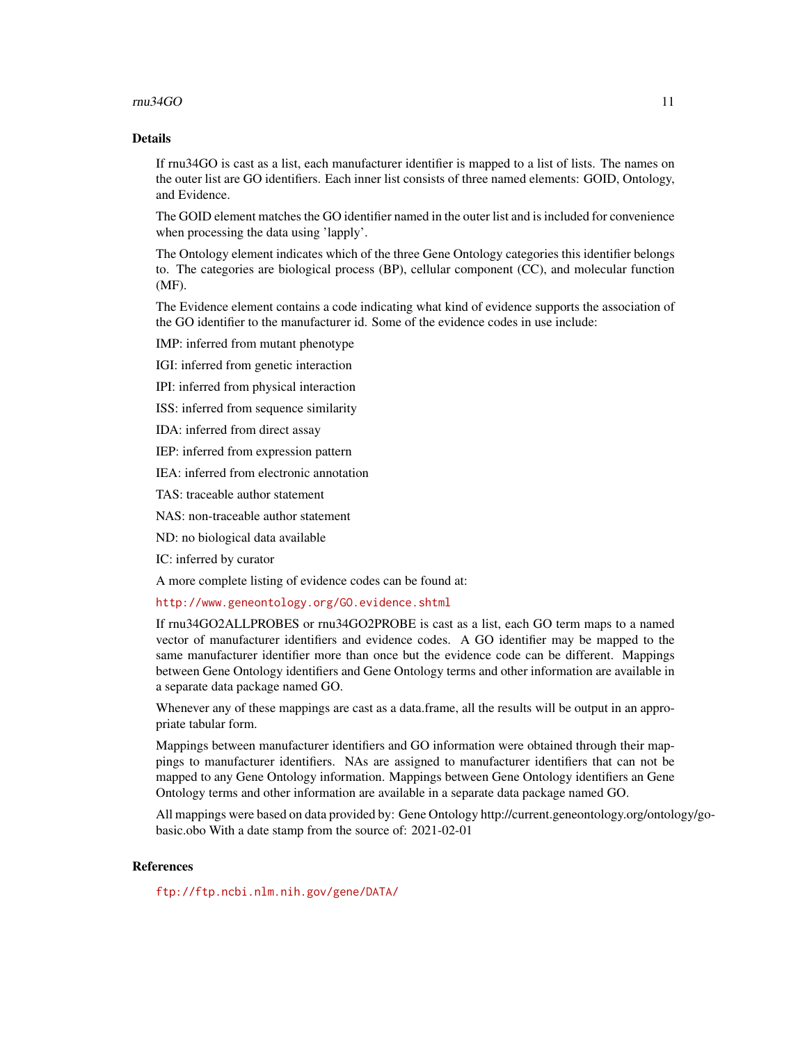#### $run34GO$  11

#### Details

If rnu34GO is cast as a list, each manufacturer identifier is mapped to a list of lists. The names on the outer list are GO identifiers. Each inner list consists of three named elements: GOID, Ontology, and Evidence.

The GOID element matches the GO identifier named in the outer list and is included for convenience when processing the data using 'lapply'.

The Ontology element indicates which of the three Gene Ontology categories this identifier belongs to. The categories are biological process (BP), cellular component (CC), and molecular function (MF).

The Evidence element contains a code indicating what kind of evidence supports the association of the GO identifier to the manufacturer id. Some of the evidence codes in use include:

IMP: inferred from mutant phenotype

IGI: inferred from genetic interaction

IPI: inferred from physical interaction

ISS: inferred from sequence similarity

IDA: inferred from direct assay

IEP: inferred from expression pattern

IEA: inferred from electronic annotation

TAS: traceable author statement

NAS: non-traceable author statement

ND: no biological data available

IC: inferred by curator

A more complete listing of evidence codes can be found at:

<http://www.geneontology.org/GO.evidence.shtml>

If rnu34GO2ALLPROBES or rnu34GO2PROBE is cast as a list, each GO term maps to a named vector of manufacturer identifiers and evidence codes. A GO identifier may be mapped to the same manufacturer identifier more than once but the evidence code can be different. Mappings between Gene Ontology identifiers and Gene Ontology terms and other information are available in a separate data package named GO.

Whenever any of these mappings are cast as a data.frame, all the results will be output in an appropriate tabular form.

Mappings between manufacturer identifiers and GO information were obtained through their mappings to manufacturer identifiers. NAs are assigned to manufacturer identifiers that can not be mapped to any Gene Ontology information. Mappings between Gene Ontology identifiers an Gene Ontology terms and other information are available in a separate data package named GO.

All mappings were based on data provided by: Gene Ontology http://current.geneontology.org/ontology/gobasic.obo With a date stamp from the source of: 2021-02-01

#### References

<ftp://ftp.ncbi.nlm.nih.gov/gene/DATA/>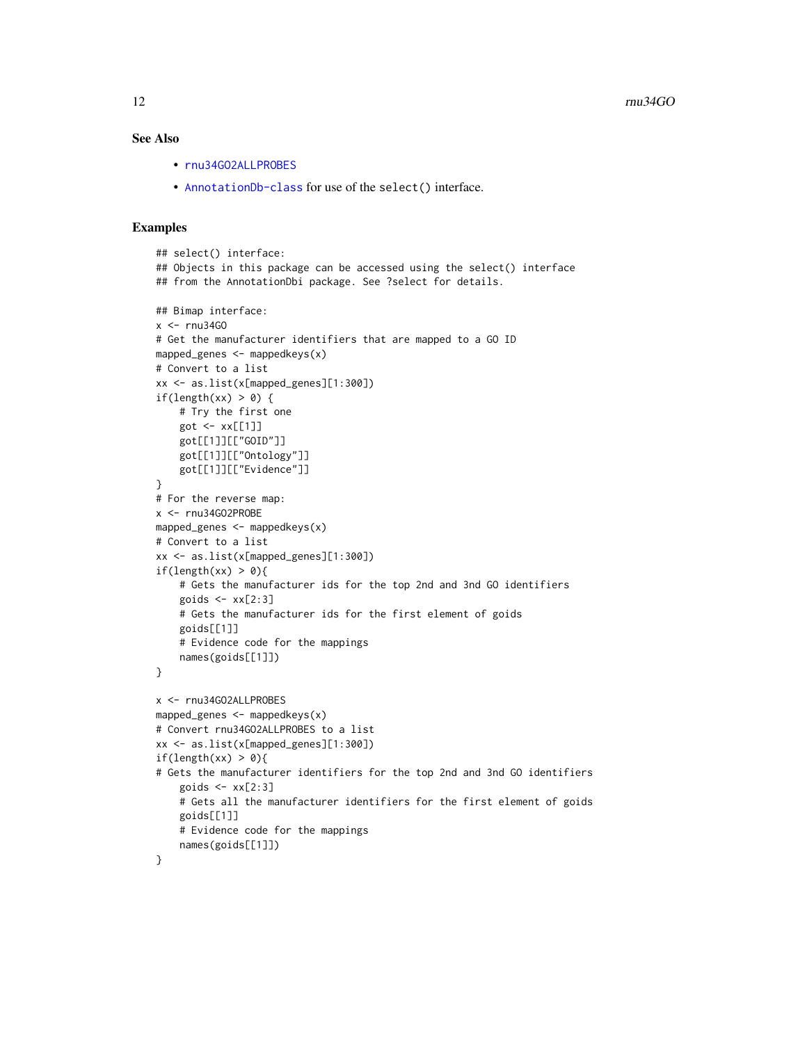#### <span id="page-11-0"></span>See Also

- [rnu34GO2ALLPROBES](#page-9-0)
- [AnnotationDb-class](#page-0-0) for use of the select() interface.

```
## select() interface:
## Objects in this package can be accessed using the select() interface
## from the AnnotationDbi package. See ?select for details.
## Bimap interface:
x < - rnu34GO
# Get the manufacturer identifiers that are mapped to a GO ID
mapped_genes <- mappedkeys(x)
# Convert to a list
xx <- as.list(x[mapped_genes][1:300])
if(length(xx) > 0) {
    # Try the first one
   got \leq -xx[[1]]got[[1]][["GOID"]]
    got[[1]][["Ontology"]]
    got[[1]][["Evidence"]]
}
# For the reverse map:
x <- rnu34GO2PROBE
mapped_genes <- mappedkeys(x)
# Convert to a list
xx <- as.list(x[mapped_genes][1:300])
if(length(xx) > 0){
    # Gets the manufacturer ids for the top 2nd and 3nd GO identifiers
    goids \leq -x \times [2:3]# Gets the manufacturer ids for the first element of goids
    goids[[1]]
    # Evidence code for the mappings
   names(goids[[1]])
}
x <- rnu34GO2ALLPROBES
mapped_genes <- mappedkeys(x)
# Convert rnu34GO2ALLPROBES to a list
xx <- as.list(x[mapped_genes][1:300])
if(length(xx) > 0){
# Gets the manufacturer identifiers for the top 2nd and 3nd GO identifiers
    goids \leq -x \times [2:3]# Gets all the manufacturer identifiers for the first element of goids
   goids[[1]]
    # Evidence code for the mappings
   names(goids[[1]])
}
```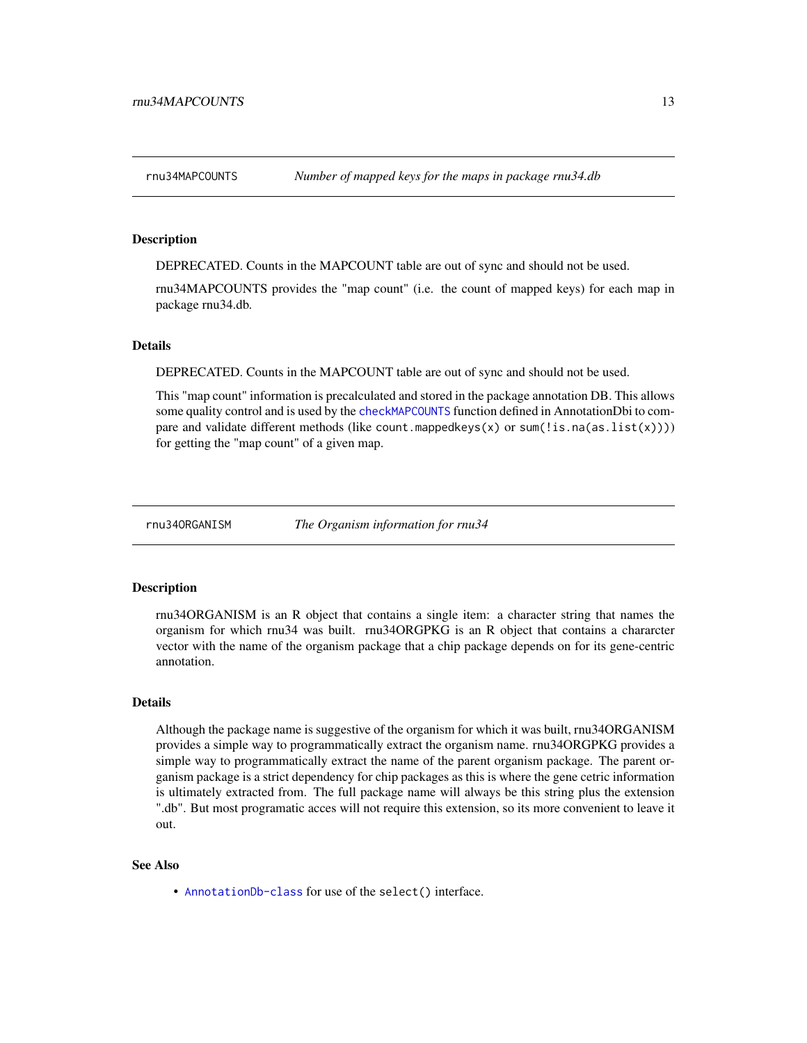<span id="page-12-0"></span>

DEPRECATED. Counts in the MAPCOUNT table are out of sync and should not be used.

rnu34MAPCOUNTS provides the "map count" (i.e. the count of mapped keys) for each map in package rnu34.db.

#### **Details**

DEPRECATED. Counts in the MAPCOUNT table are out of sync and should not be used.

This "map count" information is precalculated and stored in the package annotation DB. This allows some quality control and is used by the [checkMAPCOUNTS](#page-0-0) function defined in AnnotationDbi to compare and validate different methods (like count.mappedkeys $(x)$  or sum(!is.na(as.list(x)))) for getting the "map count" of a given map.

rnu34ORGANISM *The Organism information for rnu34*

#### Description

rnu34ORGANISM is an R object that contains a single item: a character string that names the organism for which rnu34 was built. rnu34ORGPKG is an R object that contains a chararcter vector with the name of the organism package that a chip package depends on for its gene-centric annotation.

#### Details

Although the package name is suggestive of the organism for which it was built, rnu34ORGANISM provides a simple way to programmatically extract the organism name. rnu34ORGPKG provides a simple way to programmatically extract the name of the parent organism package. The parent organism package is a strict dependency for chip packages as this is where the gene cetric information is ultimately extracted from. The full package name will always be this string plus the extension ".db". But most programatic acces will not require this extension, so its more convenient to leave it out.

#### See Also

• [AnnotationDb-class](#page-0-0) for use of the select() interface.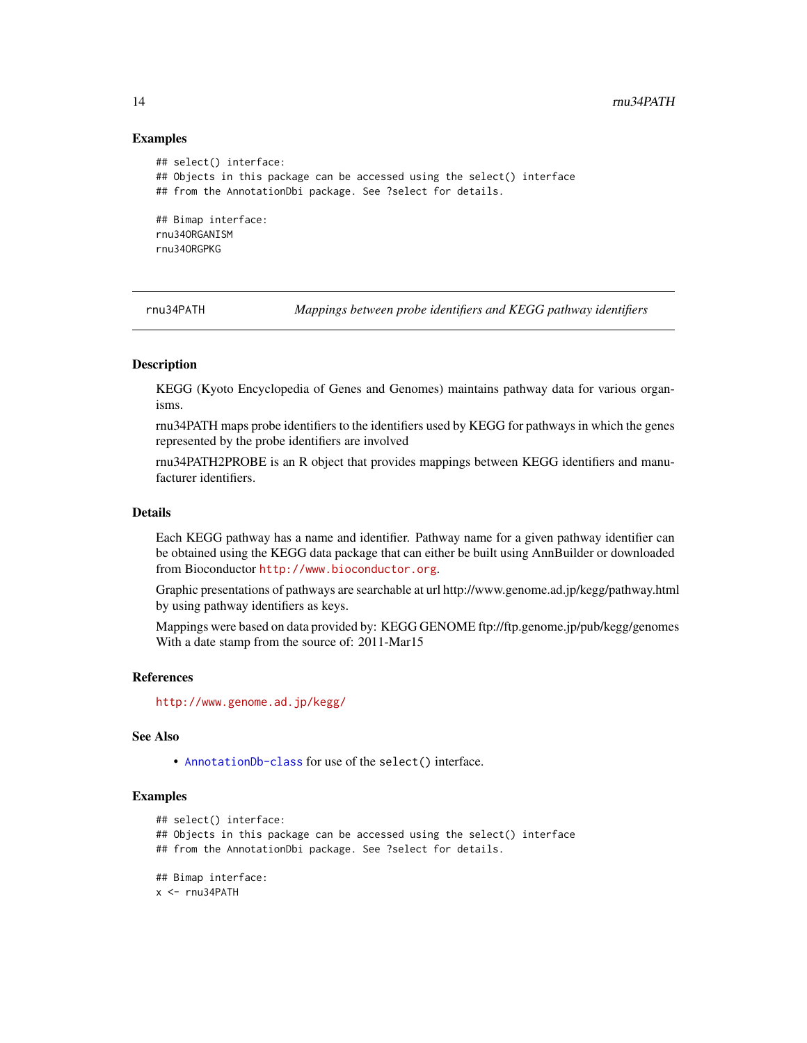#### Examples

```
## select() interface:
## Objects in this package can be accessed using the select() interface
## from the AnnotationDbi package. See ?select for details.
## Bimap interface:
rnu34ORGANISM
rnu34ORGPKG
```
rnu34PATH *Mappings between probe identifiers and KEGG pathway identifiers*

#### Description

KEGG (Kyoto Encyclopedia of Genes and Genomes) maintains pathway data for various organisms.

rnu34PATH maps probe identifiers to the identifiers used by KEGG for pathways in which the genes represented by the probe identifiers are involved

rnu34PATH2PROBE is an R object that provides mappings between KEGG identifiers and manufacturer identifiers.

#### Details

Each KEGG pathway has a name and identifier. Pathway name for a given pathway identifier can be obtained using the KEGG data package that can either be built using AnnBuilder or downloaded from Bioconductor <http://www.bioconductor.org>.

Graphic presentations of pathways are searchable at url http://www.genome.ad.jp/kegg/pathway.html by using pathway identifiers as keys.

Mappings were based on data provided by: KEGG GENOME ftp://ftp.genome.jp/pub/kegg/genomes With a date stamp from the source of: 2011-Mar15

#### References

<http://www.genome.ad.jp/kegg/>

#### See Also

• [AnnotationDb-class](#page-0-0) for use of the select() interface.

```
## select() interface:
## Objects in this package can be accessed using the select() interface
## from the AnnotationDbi package. See ?select for details.
## Bimap interface:
x < - rnu34PATH
```
<span id="page-13-0"></span>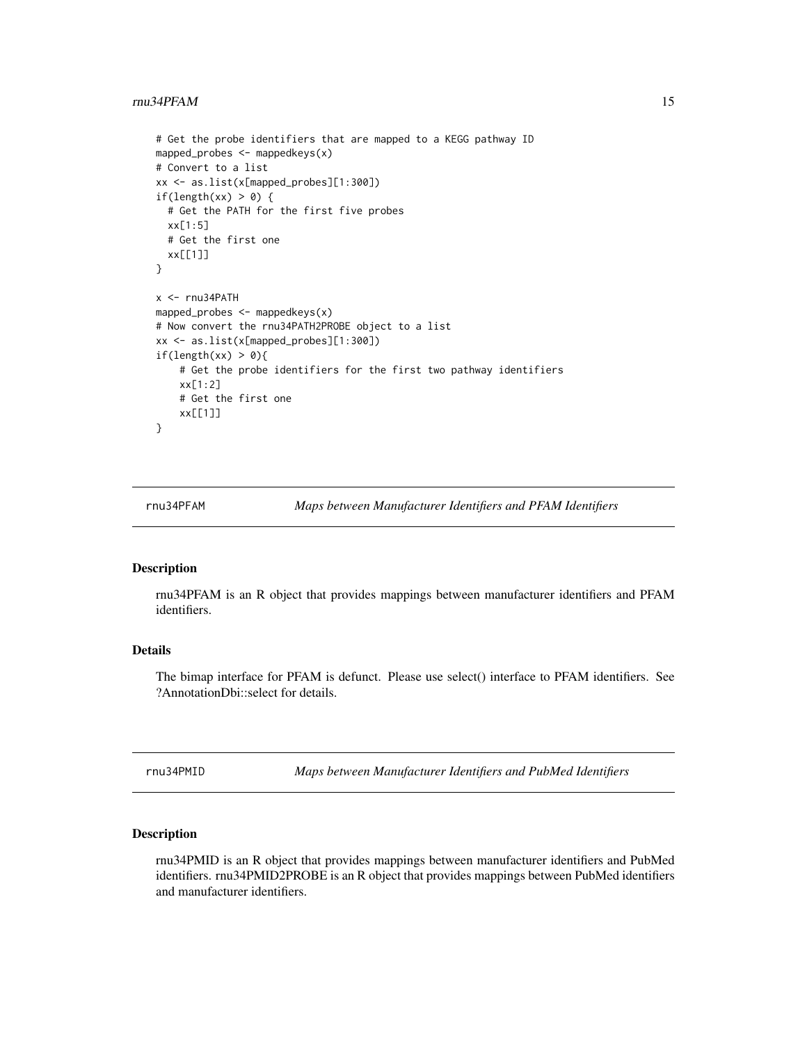#### <span id="page-14-0"></span> $r_{\rm H}$  rnu34PFAM 15

```
# Get the probe identifiers that are mapped to a KEGG pathway ID
mapped_probes <- mappedkeys(x)
# Convert to a list
xx <- as.list(x[mapped_probes][1:300])
if(length(xx) > 0) {
 # Get the PATH for the first five probes
 xx[1:5]
 # Get the first one
 xx[[1]]
}
x <- rnu34PATH
mapped_probes <- mappedkeys(x)
# Now convert the rnu34PATH2PROBE object to a list
xx <- as.list(x[mapped_probes][1:300])
if(length(xx) > 0){
    # Get the probe identifiers for the first two pathway identifiers
   xx[1:2]
    # Get the first one
   xx[[1]]
}
```
rnu34PFAM *Maps between Manufacturer Identifiers and PFAM Identifiers*

#### Description

rnu34PFAM is an R object that provides mappings between manufacturer identifiers and PFAM identifiers.

#### Details

The bimap interface for PFAM is defunct. Please use select() interface to PFAM identifiers. See ?AnnotationDbi::select for details.

rnu34PMID *Maps between Manufacturer Identifiers and PubMed Identifiers*

#### Description

rnu34PMID is an R object that provides mappings between manufacturer identifiers and PubMed identifiers. rnu34PMID2PROBE is an R object that provides mappings between PubMed identifiers and manufacturer identifiers.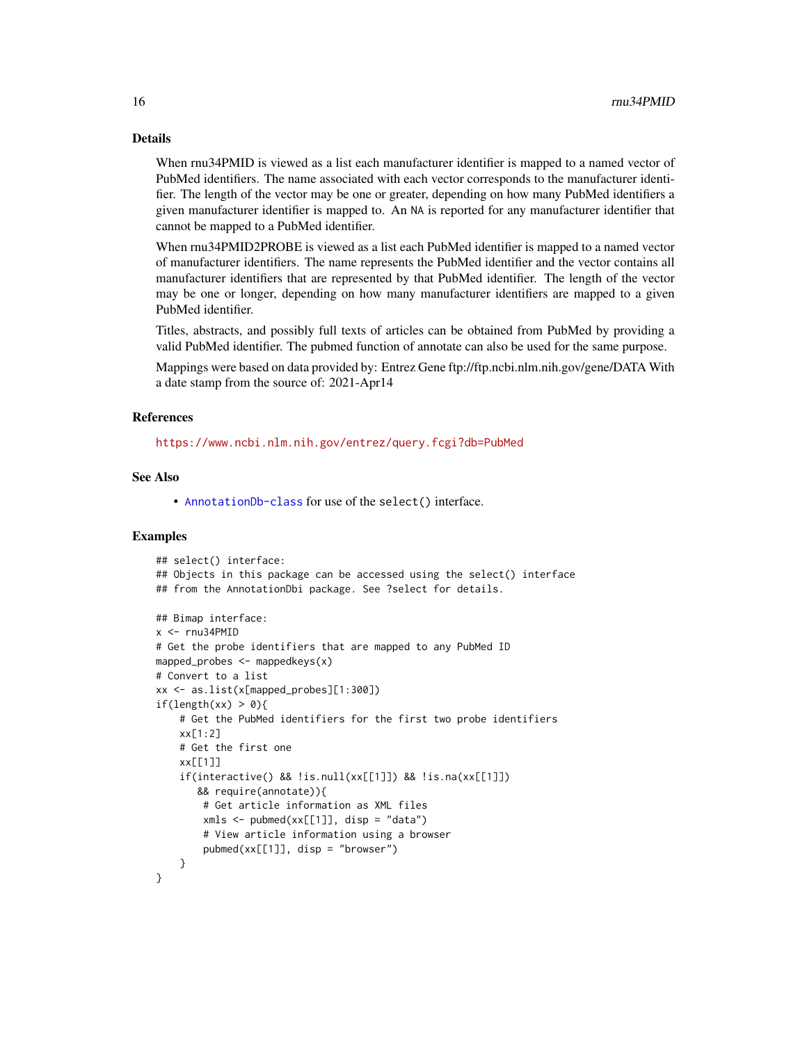#### Details

When rnu34PMID is viewed as a list each manufacturer identifier is mapped to a named vector of PubMed identifiers. The name associated with each vector corresponds to the manufacturer identifier. The length of the vector may be one or greater, depending on how many PubMed identifiers a given manufacturer identifier is mapped to. An NA is reported for any manufacturer identifier that cannot be mapped to a PubMed identifier.

When rnu34PMID2PROBE is viewed as a list each PubMed identifier is mapped to a named vector of manufacturer identifiers. The name represents the PubMed identifier and the vector contains all manufacturer identifiers that are represented by that PubMed identifier. The length of the vector may be one or longer, depending on how many manufacturer identifiers are mapped to a given PubMed identifier.

Titles, abstracts, and possibly full texts of articles can be obtained from PubMed by providing a valid PubMed identifier. The pubmed function of annotate can also be used for the same purpose.

Mappings were based on data provided by: Entrez Gene ftp://ftp.ncbi.nlm.nih.gov/gene/DATA With a date stamp from the source of: 2021-Apr14

#### References

<https://www.ncbi.nlm.nih.gov/entrez/query.fcgi?db=PubMed>

#### See Also

• [AnnotationDb-class](#page-0-0) for use of the select() interface.

```
## select() interface:
## Objects in this package can be accessed using the select() interface
## from the AnnotationDbi package. See ?select for details.
## Bimap interface:
x < - rnu34PMID
# Get the probe identifiers that are mapped to any PubMed ID
mapped_probes \leq mappedkeys(x)
# Convert to a list
xx <- as.list(x[mapped_probes][1:300])
if(length(xx) > 0){
    # Get the PubMed identifiers for the first two probe identifiers
    xx[1:2]
    # Get the first one
    xx[[1]]
    if(interactive() && !is.null(xx[[1]]) && !is.na(xx[[1]])
       && require(annotate)){
        # Get article information as XML files
        xmls < -pubmed(xx[[1]], disp = "data")# View article information using a browser
        pubmed(xx[[1]], disp = "browser")
    }
}
```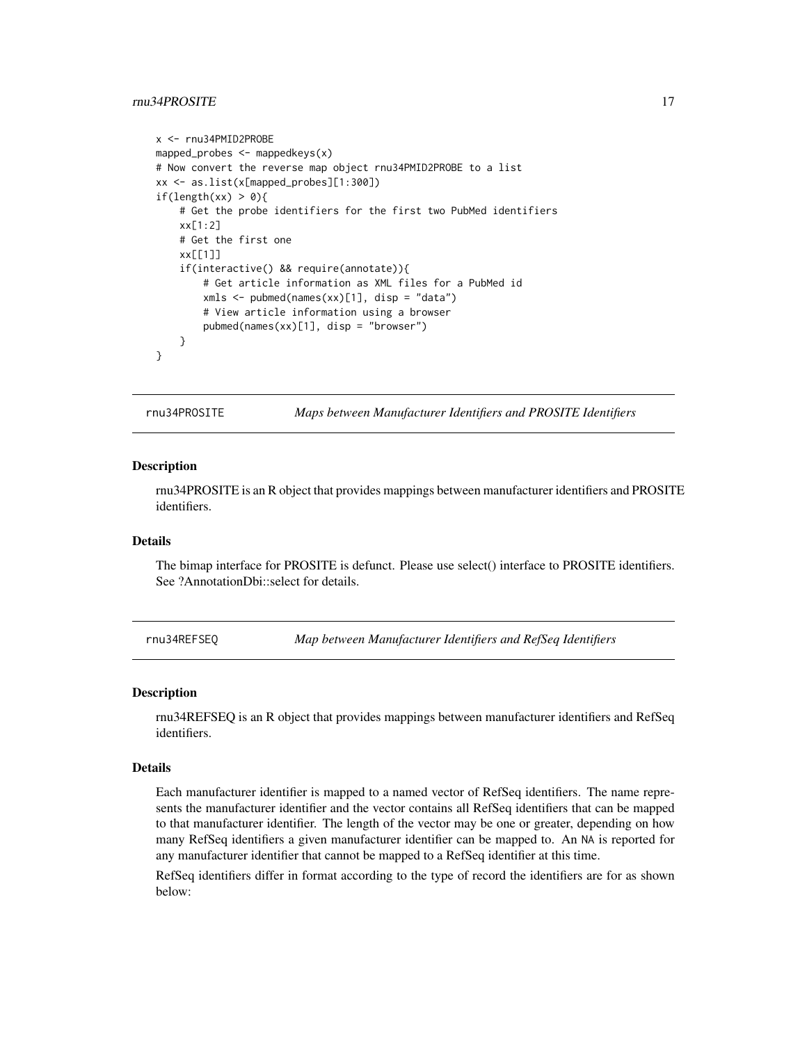#### <span id="page-16-0"></span>rnu34PROSITE 17

```
x <- rnu34PMID2PROBE
mapped_probes <- mappedkeys(x)
# Now convert the reverse map object rnu34PMID2PROBE to a list
xx <- as.list(x[mapped_probes][1:300])
if(length(xx) > 0){
    # Get the probe identifiers for the first two PubMed identifiers
    xx[1:2]
    # Get the first one
   xx[[1]]
    if(interactive() && require(annotate)){
       # Get article information as XML files for a PubMed id
       xmls <- pubmed(names(xx)[1], disp = "data")
       # View article information using a browser
       pubmed(names(xx)[1], disp = "browser")
   }
}
```
rnu34PROSITE *Maps between Manufacturer Identifiers and PROSITE Identifiers*

#### **Description**

rnu34PROSITE is an R object that provides mappings between manufacturer identifiers and PROSITE identifiers.

#### Details

The bimap interface for PROSITE is defunct. Please use select() interface to PROSITE identifiers. See ?AnnotationDbi::select for details.

rnu34REFSEQ *Map between Manufacturer Identifiers and RefSeq Identifiers*

#### Description

rnu34REFSEQ is an R object that provides mappings between manufacturer identifiers and RefSeq identifiers.

#### Details

Each manufacturer identifier is mapped to a named vector of RefSeq identifiers. The name represents the manufacturer identifier and the vector contains all RefSeq identifiers that can be mapped to that manufacturer identifier. The length of the vector may be one or greater, depending on how many RefSeq identifiers a given manufacturer identifier can be mapped to. An NA is reported for any manufacturer identifier that cannot be mapped to a RefSeq identifier at this time.

RefSeq identifiers differ in format according to the type of record the identifiers are for as shown below: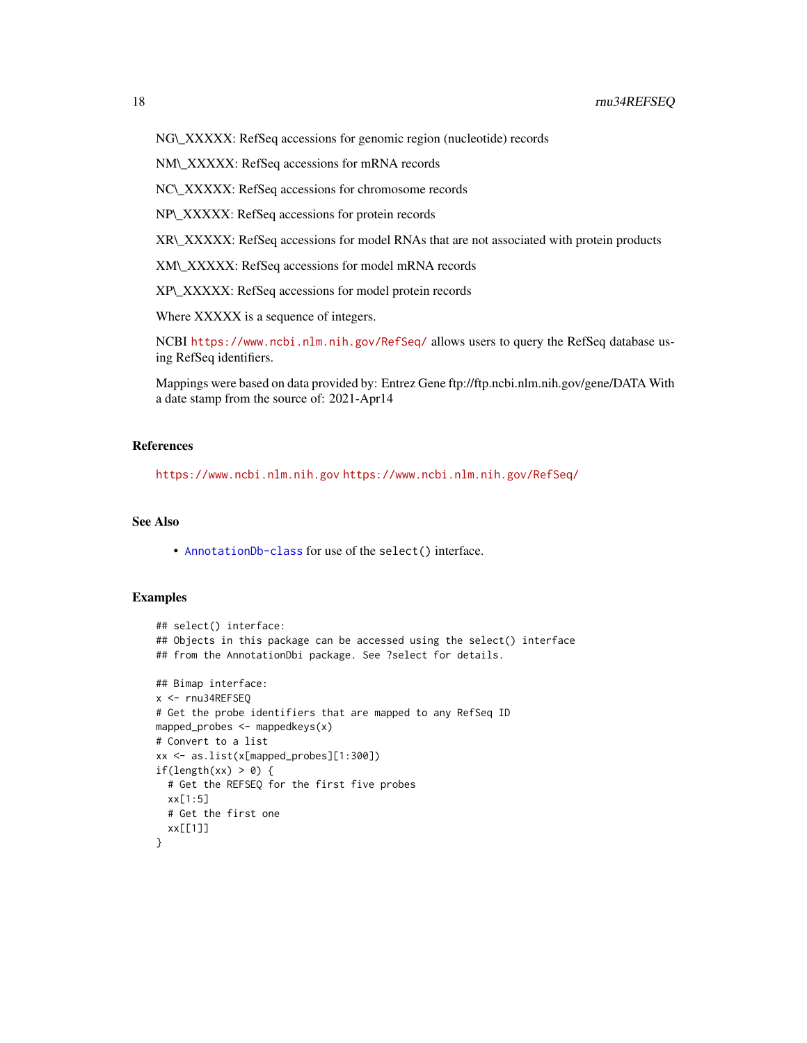NG\\_XXXXX: RefSeq accessions for genomic region (nucleotide) records

NM\\_XXXXX: RefSeq accessions for mRNA records

NC\\_XXXXX: RefSeq accessions for chromosome records

NP\\_XXXXX: RefSeq accessions for protein records

XR\\_XXXXX: RefSeq accessions for model RNAs that are not associated with protein products

XM\\_XXXXX: RefSeq accessions for model mRNA records

XP\\_XXXXX: RefSeq accessions for model protein records

Where XXXXX is a sequence of integers.

NCBI <https://www.ncbi.nlm.nih.gov/RefSeq/> allows users to query the RefSeq database using RefSeq identifiers.

Mappings were based on data provided by: Entrez Gene ftp://ftp.ncbi.nlm.nih.gov/gene/DATA With a date stamp from the source of: 2021-Apr14

#### References

<https://www.ncbi.nlm.nih.gov> <https://www.ncbi.nlm.nih.gov/RefSeq/>

#### See Also

• [AnnotationDb-class](#page-0-0) for use of the select() interface.

```
## select() interface:
## Objects in this package can be accessed using the select() interface
## from the AnnotationDbi package. See ?select for details.
## Bimap interface:
x <- rnu34REFSEQ
# Get the probe identifiers that are mapped to any RefSeq ID
mapped_probes <- mappedkeys(x)
# Convert to a list
xx <- as.list(x[mapped_probes][1:300])
if(length(xx) > \theta) {
  # Get the REFSEQ for the first five probes
  xx[1:5]
  # Get the first one
  xx[[1]]
}
```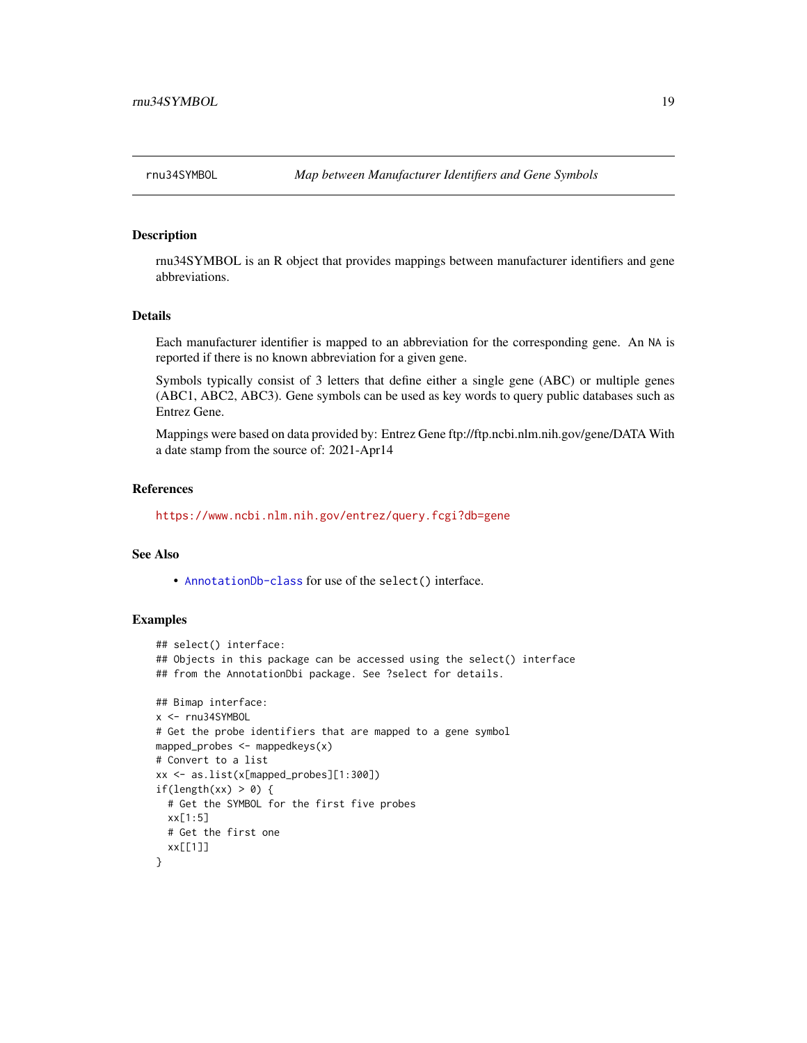<span id="page-18-0"></span>

rnu34SYMBOL is an R object that provides mappings between manufacturer identifiers and gene abbreviations.

#### Details

Each manufacturer identifier is mapped to an abbreviation for the corresponding gene. An NA is reported if there is no known abbreviation for a given gene.

Symbols typically consist of 3 letters that define either a single gene (ABC) or multiple genes (ABC1, ABC2, ABC3). Gene symbols can be used as key words to query public databases such as Entrez Gene.

Mappings were based on data provided by: Entrez Gene ftp://ftp.ncbi.nlm.nih.gov/gene/DATA With a date stamp from the source of: 2021-Apr14

#### References

<https://www.ncbi.nlm.nih.gov/entrez/query.fcgi?db=gene>

#### See Also

• [AnnotationDb-class](#page-0-0) for use of the select() interface.

```
## select() interface:
## Objects in this package can be accessed using the select() interface
## from the AnnotationDbi package. See ?select for details.
## Bimap interface:
x <- rnu34SYMBOL
# Get the probe identifiers that are mapped to a gene symbol
mapped_probes <- mappedkeys(x)
# Convert to a list
xx <- as.list(x[mapped_probes][1:300])
if(length(xx) > 0) {
  # Get the SYMBOL for the first five probes
  xx[1:5]
  # Get the first one
  xx[[1]]
}
```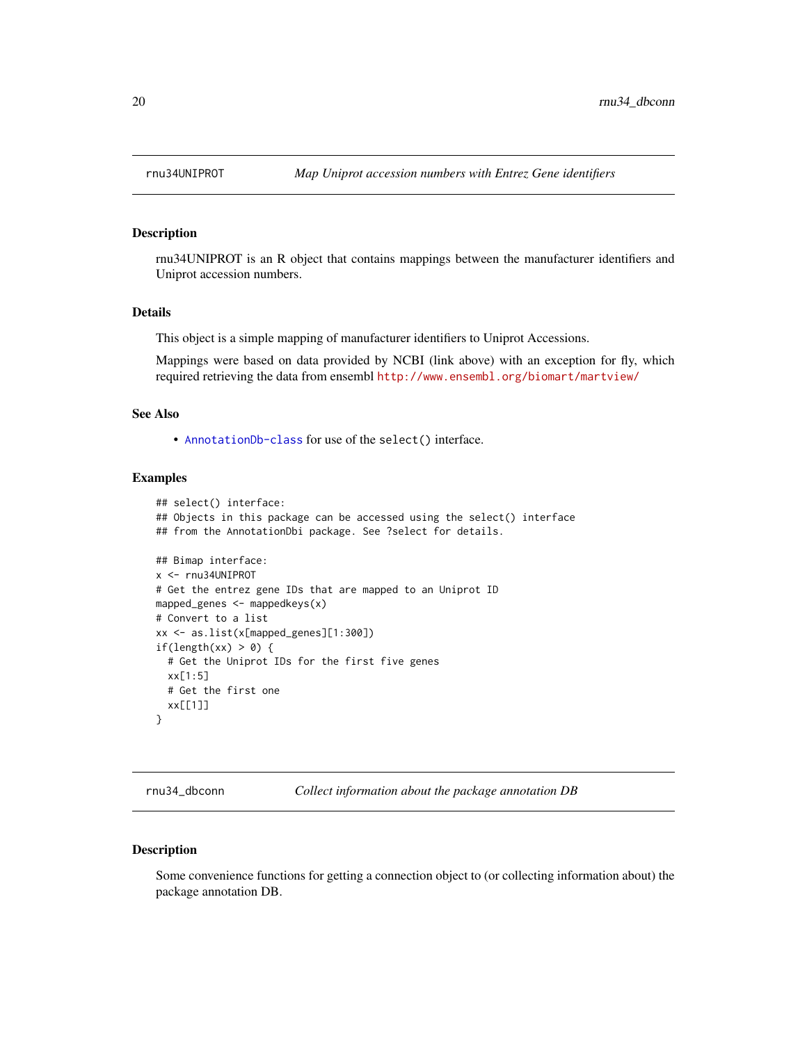<span id="page-19-0"></span>

rnu34UNIPROT is an R object that contains mappings between the manufacturer identifiers and Uniprot accession numbers.

#### Details

This object is a simple mapping of manufacturer identifiers to Uniprot Accessions.

Mappings were based on data provided by NCBI (link above) with an exception for fly, which required retrieving the data from ensembl <http://www.ensembl.org/biomart/martview/>

#### See Also

• [AnnotationDb-class](#page-0-0) for use of the select() interface.

#### Examples

```
## select() interface:
## Objects in this package can be accessed using the select() interface
## from the AnnotationDbi package. See ?select for details.
## Bimap interface:
x <- rnu34UNIPROT
# Get the entrez gene IDs that are mapped to an Uniprot ID
mapped_genes <- mappedkeys(x)
# Convert to a list
xx <- as.list(x[mapped_genes][1:300])
if(length(xx) > 0) {
  # Get the Uniprot IDs for the first five genes
  xx[1:5]
  # Get the first one
  xx[[1]]
}
```
rnu34\_dbconn *Collect information about the package annotation DB*

#### Description

Some convenience functions for getting a connection object to (or collecting information about) the package annotation DB.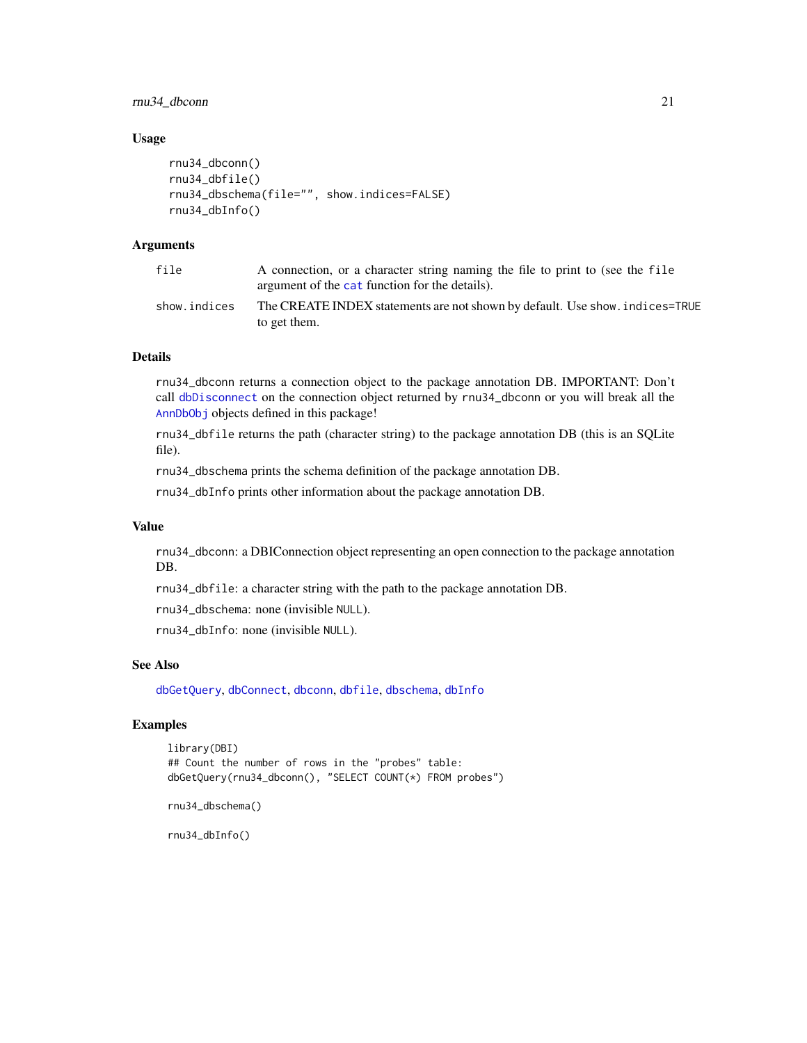<span id="page-20-0"></span>rnu34\_dbconn 21

#### Usage

```
rnu34_dbconn()
rnu34_dbfile()
rnu34_dbschema(file="", show.indices=FALSE)
rnu34_dbInfo()
```
#### Arguments

| file         | A connection, or a character string naming the file to print to (see the file<br>argument of the cat function for the details). |
|--------------|---------------------------------------------------------------------------------------------------------------------------------|
| show.indices | The CREATE INDEX statements are not shown by default. Use show, indices=TRUE<br>to get them.                                    |

#### Details

rnu34\_dbconn returns a connection object to the package annotation DB. IMPORTANT: Don't call [dbDisconnect](#page-0-0) on the connection object returned by rnu34\_dbconn or you will break all the [AnnDbObj](#page-0-0) objects defined in this package!

rnu34\_dbfile returns the path (character string) to the package annotation DB (this is an SQLite file).

rnu34\_dbschema prints the schema definition of the package annotation DB.

rnu34\_dbInfo prints other information about the package annotation DB.

#### Value

rnu34\_dbconn: a DBIConnection object representing an open connection to the package annotation DB.

rnu34\_dbfile: a character string with the path to the package annotation DB.

rnu34\_dbschema: none (invisible NULL).

rnu34\_dbInfo: none (invisible NULL).

#### See Also

[dbGetQuery](#page-0-0), [dbConnect](#page-0-0), [dbconn](#page-0-0), [dbfile](#page-0-0), [dbschema](#page-0-0), [dbInfo](#page-0-0)

## Examples

```
library(DBI)
## Count the number of rows in the "probes" table:
dbGetQuery(rnu34_dbconn(), "SELECT COUNT(*) FROM probes")
```

```
rnu34_dbschema()
```
rnu34\_dbInfo()